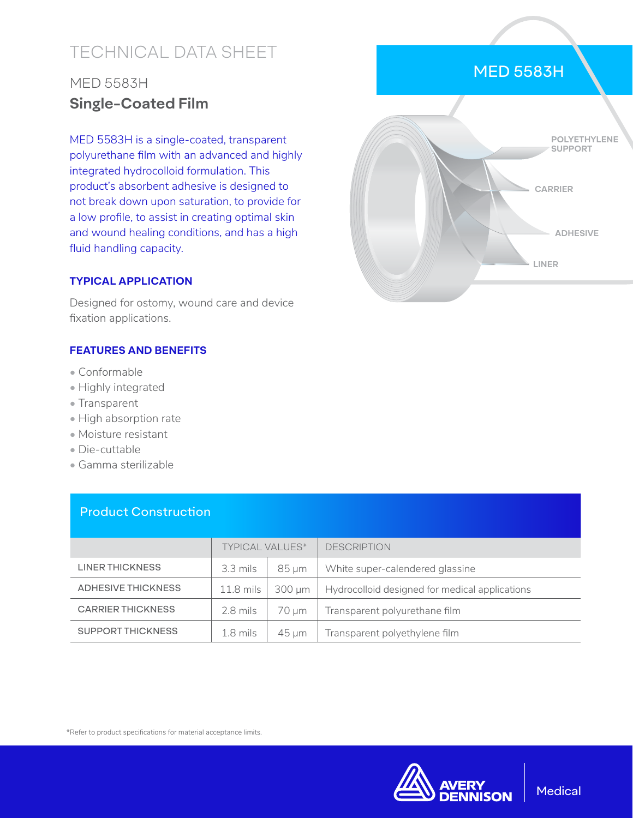# TECHNICAL DATA SHEET

## MED 5583H **Single-Coated Film**

MED 5583H is a single-coated, transparent polyurethane film with an advanced and highly integrated hydrocolloid formulation. This product's absorbent adhesive is designed to not break down upon saturation, to provide for a low profile, to assist in creating optimal skin and wound healing conditions, and has a high fluid handling capacity.

#### **TYPICAL APPLICATION**

Designed for ostomy, wound care and device fixation applications.

#### **FEATURES AND BENEFITS**

- Conformable
- Highly integrated
- Transparent
- High absorption rate
- Moisture resistant
- Die-cuttable
- Gamma sterilizable

|                           | <b>TYPICAL VALUES*</b> |             | <b>DESCRIPTION</b>                             |
|---------------------------|------------------------|-------------|------------------------------------------------|
| <b>LINER THICKNESS</b>    | $3.3$ mils             | $85 \mu m$  | White super-calendered glassine                |
| <b>ADHESIVE THICKNESS</b> | $11.8$ mils            | $300 \mu m$ | Hydrocolloid designed for medical applications |
| <b>CARRIER THICKNESS</b>  | 2.8 mils               | 70 um       | Transparent polyurethane film                  |
| <b>SUPPORT THICKNESS</b>  | $1.8$ mils             | $45 \mu m$  | Transparent polyethylene film                  |

### Product Construction